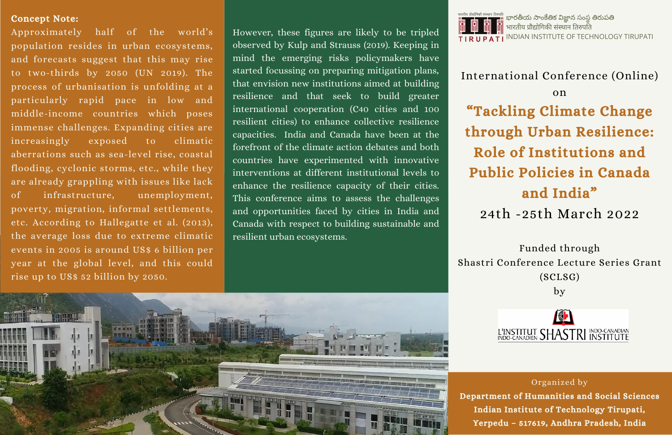#### Organized by

Department of Humanities and Social Sciences Indian Institute of Technology Tirupati, Yerpedu – 517619, Andhra Pradesh, India

# International Conference (Online)

#### on

# "Tackling Climate Change

# through Urban Resilience:

# Role of Institutions and

భారతీయ సాంకేతిక విజ్ఞాన సంస్థ తిరుపతి भारतीय पौद्योगिकी संस्थान तिरुपति INDIAN INSTITUTE OF TECHNOLOGY TIRUPATI

# Public Policies in Canada and India"

## 24th -25th March 2022

### Funded through

Shastri Conference Lecture Series Grant (SCLSG)

by



#### Concept Note:

Approximately half of the world's population resides in urban ecosystems, and forecasts suggest that this may rise to two-thirds by 2050 (UN 2019). The process of urbanisation is unfolding at a particularly rapid pace in low and middle-income countries which poses immense challenges. Expanding cities are increasingly exposed to climatic aberrations such as sea-level rise, coastal flooding, cyclonic storms, etc., while they are already grappling with issues like lack of infrastructure, unemployment, poverty, migration, informal settlements, etc. According to Hallegatte et al. (2013), the average loss due to extreme climatic events in 2005 is around US\$ 6 billion per year at the global level, and this could rise up to US\$ 52 billion by 2050.

However, these figures are likely to be tripled observed by Kulp and Strauss (2019). Keeping in mind the emerging risks policymakers have started focussing on preparing mitigation plans, that envision new institutions aimed at building resilience and that seek to build greater international cooperation (C40 cities and 100 resilient cities) to enhance collective resilience capacities. India and Canada have been at the forefront of the climate action debates and both countries have experimented with innovative interventions at different institutional levels to enhance the resilience capacity of their cities. This conference aims to assess the challenges and opportunities faced by cities in India and Canada with respect to building sustainable and resilient urban ecosystems.